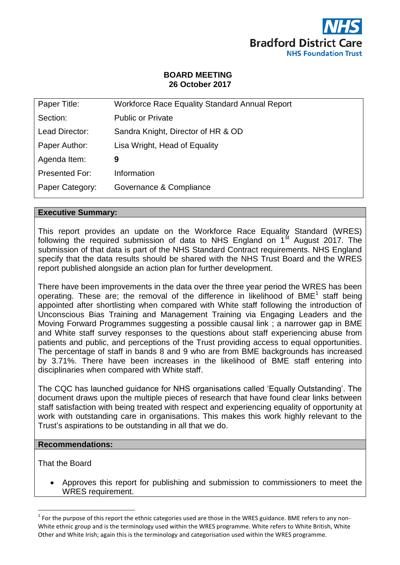

## **BOARD MEETING 26 October 2017**

| Paper Title:    | <b>Workforce Race Equality Standard Annual Report</b> |
|-----------------|-------------------------------------------------------|
| Section:        | <b>Public or Private</b>                              |
| Lead Director:  | Sandra Knight, Director of HR & OD                    |
| Paper Author:   | Lisa Wright, Head of Equality                         |
| Agenda Item:    | 9                                                     |
| Presented For:  | Information                                           |
| Paper Category: | Governance & Compliance                               |
|                 |                                                       |

#### **Executive Summary:**

This report provides an update on the Workforce Race Equality Standard (WRES) following the required submission of data to NHS England on  $1<sup>st</sup>$  August 2017. The submission of that data is part of the NHS Standard Contract requirements. NHS England specify that the data results should be shared with the NHS Trust Board and the WRES report published alongside an action plan for further development.

There have been improvements in the data over the three year period the WRES has been operating. These are; the removal of the difference in likelihood of BME<sup>1</sup> staff being appointed after shortlisting when compared with White staff following the introduction of Unconscious Bias Training and Management Training via Engaging Leaders and the Moving Forward Programmes suggesting a possible causal link ; a narrower gap in BME and White staff survey responses to the questions about staff experiencing abuse from patients and public, and perceptions of the Trust providing access to equal opportunities. The percentage of staff in bands 8 and 9 who are from BME backgrounds has increased by 3.71%. There have been increases in the likelihood of BME staff entering into disciplinaries when compared with White staff.

The CQC has launched guidance for NHS organisations called 'Equally Outstanding'. The document draws upon the multiple pieces of research that have found clear links between staff satisfaction with being treated with respect and experiencing equality of opportunity at work with outstanding care in organisations. This makes this work highly relevant to the Trust's aspirations to be outstanding in all that we do.

#### **Recommendations:**

That the Board

 $\overline{a}$ 

 Approves this report for publishing and submission to commissioners to meet the WRES requirement.

 $^1$  For the purpose of this report the ethnic categories used are those in the WRES guidance. BME refers to any non-White ethnic group and is the terminology used within the WRES programme. White refers to White British, White Other and White Irish; again this is the terminology and categorisation used within the WRES programme.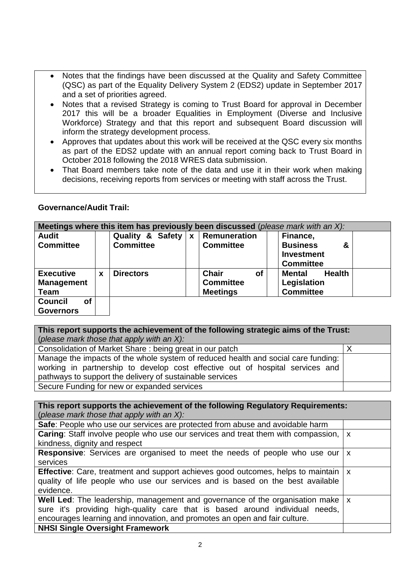- Notes that the findings have been discussed at the Quality and Safety Committee (QSC) as part of the Equality Delivery System 2 (EDS2) update in September 2017 and a set of priorities agreed.
- Notes that a revised Strategy is coming to Trust Board for approval in December 2017 this will be a broader Equalities in Employment (Diverse and Inclusive Workforce) Strategy and that this report and subsequent Board discussion will inform the strategy development process.
- Approves that updates about this work will be received at the QSC every six months as part of the EDS2 update with an annual report coming back to Trust Board in October 2018 following the 2018 WRES data submission.
- That Board members take note of the data and use it in their work when making decisions, receiving reports from services or meeting with staff across the Trust.

| <b>Governance/Audit Trail:</b> |  |
|--------------------------------|--|
|--------------------------------|--|

| Meetings where this item has previously been discussed (please mark with an X): |             |                             |              |                           |  |                                |  |
|---------------------------------------------------------------------------------|-------------|-----------------------------|--------------|---------------------------|--|--------------------------------|--|
| <b>Audit</b>                                                                    |             | <b>Quality &amp; Safety</b> | $\mathbf{x}$ | <b>Remuneration</b>       |  | Finance,                       |  |
| <b>Committee</b>                                                                |             | <b>Committee</b>            |              | <b>Committee</b>          |  | <b>Business</b><br>&           |  |
|                                                                                 |             |                             |              |                           |  | <b>Investment</b>              |  |
|                                                                                 |             |                             |              |                           |  | <b>Committee</b>               |  |
| <b>Executive</b>                                                                | $\mathbf x$ | <b>Directors</b>            |              | <b>Chair</b><br><b>of</b> |  | <b>Health</b><br><b>Mental</b> |  |
| <b>Management</b>                                                               |             |                             |              | <b>Committee</b>          |  | Legislation                    |  |
| <b>Team</b>                                                                     |             |                             |              | <b>Meetings</b>           |  | <b>Committee</b>               |  |
| <b>of</b><br><b>Council</b>                                                     |             |                             |              |                           |  |                                |  |
| <b>Governors</b>                                                                |             |                             |              |                           |  |                                |  |

**This report supports the achievement of the following strategic aims of the Trust:**  (*please mark those that apply with an X):* Consolidation of Market Share : being great in our patch  $X$ Manage the impacts of the whole system of reduced health and social care funding: working in partnership to develop cost effective out of hospital services and pathways to support the delivery of sustainable services

Secure Funding for new or expanded services

**This report supports the achievement of the following Regulatory Requirements:**  (*please mark those that apply with an X):*

| Safe: People who use our services are protected from abuse and avoidable harm                           |  |  |  |  |  |  |  |
|---------------------------------------------------------------------------------------------------------|--|--|--|--|--|--|--|
| <b>Caring:</b> Staff involve people who use our services and treat them with compassion,   x            |  |  |  |  |  |  |  |
| kindness, dignity and respect                                                                           |  |  |  |  |  |  |  |
| <b>Responsive:</b> Services are organised to meet the needs of people who use our $\vert x \vert$       |  |  |  |  |  |  |  |
| services                                                                                                |  |  |  |  |  |  |  |
| <b>Effective:</b> Care, treatment and support achieves good outcomes, helps to maintain $\vert x \vert$ |  |  |  |  |  |  |  |
| quality of life people who use our services and is based on the best available                          |  |  |  |  |  |  |  |
| evidence.                                                                                               |  |  |  |  |  |  |  |
| <b>Well Led:</b> The leadership, management and governance of the organisation make $\vert x \vert$     |  |  |  |  |  |  |  |
| sure it's providing high-quality care that is based around individual needs,                            |  |  |  |  |  |  |  |
| encourages learning and innovation, and promotes an open and fair culture.                              |  |  |  |  |  |  |  |
| <b>NHSI Single Oversight Framework</b>                                                                  |  |  |  |  |  |  |  |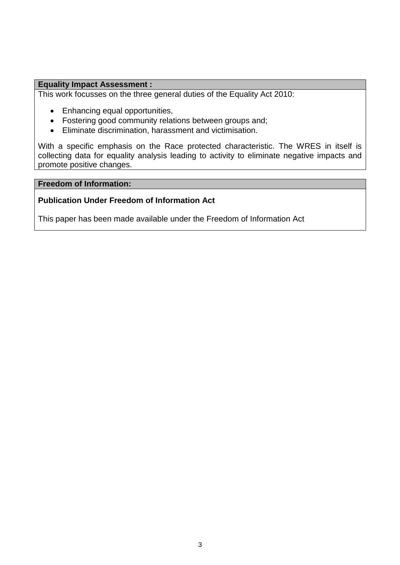#### **Equality Impact Assessment :**

This work focusses on the three general duties of the Equality Act 2010:

- Enhancing equal opportunities,
- Fostering good community relations between groups and;
- Eliminate discrimination, harassment and victimisation.

With a specific emphasis on the Race protected characteristic. The WRES in itself is collecting data for equality analysis leading to activity to eliminate negative impacts and promote positive changes.

#### **Freedom of Information:**

## **Publication Under Freedom of Information Act**

This paper has been made available under the Freedom of Information Act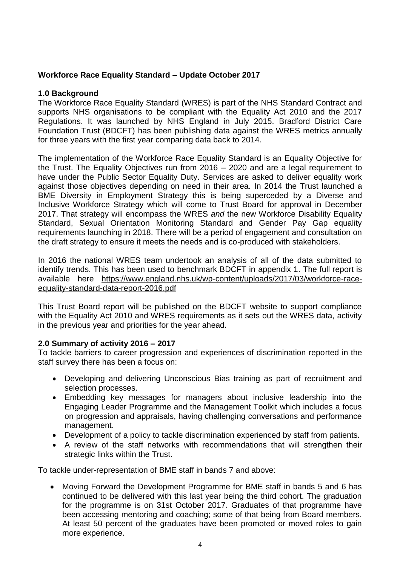# **Workforce Race Equality Standard – Update October 2017**

## **1.0 Background**

The Workforce Race Equality Standard (WRES) is part of the NHS Standard Contract and supports NHS organisations to be compliant with the Equality Act 2010 and the 2017 Regulations. It was launched by NHS England in July 2015. Bradford District Care Foundation Trust (BDCFT) has been publishing data against the WRES metrics annually for three years with the first year comparing data back to 2014.

The implementation of the Workforce Race Equality Standard is an Equality Objective for the Trust. The Equality Objectives run from 2016 – 2020 and are a legal requirement to have under the Public Sector Equality Duty. Services are asked to deliver equality work against those objectives depending on need in their area. In 2014 the Trust launched a BME Diversity in Employment Strategy this is being superceded by a Diverse and Inclusive Workforce Strategy which will come to Trust Board for approval in December 2017. That strategy will encompass the WRES *and* the new Workforce Disability Equality Standard, Sexual Orientation Monitoring Standard and Gender Pay Gap equality requirements launching in 2018. There will be a period of engagement and consultation on the draft strategy to ensure it meets the needs and is co-produced with stakeholders.

In 2016 the national WRES team undertook an analysis of all of the data submitted to identify trends. This has been used to benchmark BDCFT in appendix 1. The full report is available here [https://www.england.nhs.uk/wp-content/uploads/2017/03/workforce-race](https://www.england.nhs.uk/wp-content/uploads/2017/03/workforce-race-equality-standard-data-report-2016.pdf)[equality-standard-data-report-2016.pdf](https://www.england.nhs.uk/wp-content/uploads/2017/03/workforce-race-equality-standard-data-report-2016.pdf)

This Trust Board report will be published on the BDCFT website to support compliance with the Equality Act 2010 and WRES requirements as it sets out the WRES data, activity in the previous year and priorities for the year ahead.

# **2.0 Summary of activity 2016 – 2017**

To tackle barriers to career progression and experiences of discrimination reported in the staff survey there has been a focus on:

- Developing and delivering Unconscious Bias training as part of recruitment and selection processes.
- Embedding key messages for managers about inclusive leadership into the Engaging Leader Programme and the Management Toolkit which includes a focus on progression and appraisals, having challenging conversations and performance management.
- Development of a policy to tackle discrimination experienced by staff from patients.
- A review of the staff networks with recommendations that will strengthen their strategic links within the Trust.

To tackle under-representation of BME staff in bands 7 and above:

• Moving Forward the Development Programme for BME staff in bands 5 and 6 has continued to be delivered with this last year being the third cohort. The graduation for the programme is on 31st October 2017. Graduates of that programme have been accessing mentoring and coaching; some of that being from Board members. At least 50 percent of the graduates have been promoted or moved roles to gain more experience.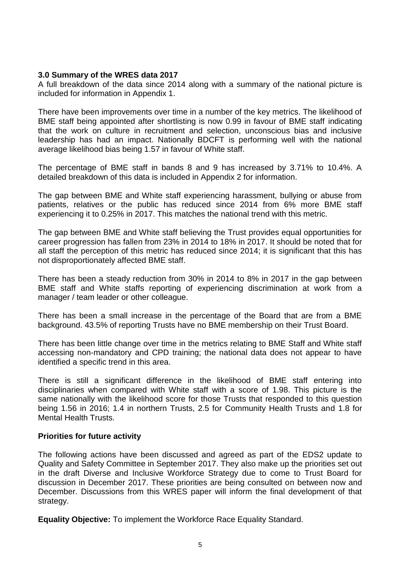#### **3.0 Summary of the WRES data 2017**

A full breakdown of the data since 2014 along with a summary of the national picture is included for information in Appendix 1.

There have been improvements over time in a number of the key metrics. The likelihood of BME staff being appointed after shortlisting is now 0.99 in favour of BME staff indicating that the work on culture in recruitment and selection, unconscious bias and inclusive leadership has had an impact. Nationally BDCFT is performing well with the national average likelihood bias being 1.57 in favour of White staff.

The percentage of BME staff in bands 8 and 9 has increased by 3.71% to 10.4%. A detailed breakdown of this data is included in Appendix 2 for information.

The gap between BME and White staff experiencing harassment, bullying or abuse from patients, relatives or the public has reduced since 2014 from 6% more BME staff experiencing it to 0.25% in 2017. This matches the national trend with this metric.

The gap between BME and White staff believing the Trust provides equal opportunities for career progression has fallen from 23% in 2014 to 18% in 2017. It should be noted that for all staff the perception of this metric has reduced since 2014; it is significant that this has not disproportionately affected BME staff.

There has been a steady reduction from 30% in 2014 to 8% in 2017 in the gap between BME staff and White staffs reporting of experiencing discrimination at work from a manager / team leader or other colleague.

There has been a small increase in the percentage of the Board that are from a BME background. 43.5% of reporting Trusts have no BME membership on their Trust Board.

There has been little change over time in the metrics relating to BME Staff and White staff accessing non-mandatory and CPD training; the national data does not appear to have identified a specific trend in this area.

There is still a significant difference in the likelihood of BME staff entering into disciplinaries when compared with White staff with a score of 1.98. This picture is the same nationally with the likelihood score for those Trusts that responded to this question being 1.56 in 2016; 1.4 in northern Trusts, 2.5 for Community Health Trusts and 1.8 for Mental Health Trusts.

## **Priorities for future activity**

The following actions have been discussed and agreed as part of the EDS2 update to Quality and Safety Committee in September 2017. They also make up the priorities set out in the draft Diverse and Inclusive Workforce Strategy due to come to Trust Board for discussion in December 2017. These priorities are being consulted on between now and December. Discussions from this WRES paper will inform the final development of that strategy.

**Equality Objective:** To implement the Workforce Race Equality Standard.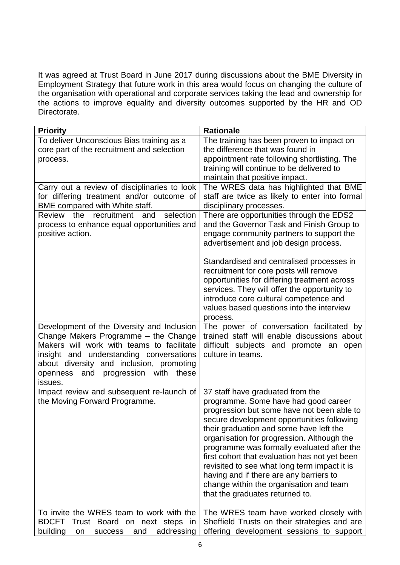It was agreed at Trust Board in June 2017 during discussions about the BME Diversity in Employment Strategy that future work in this area would focus on changing the culture of the organisation with operational and corporate services taking the lead and ownership for the actions to improve equality and diversity outcomes supported by the HR and OD Directorate.

| <b>Priority</b>                                                                                                                                                                                                                  | <b>Rationale</b>                                                                                                                                                                                                                                                                                                                                                                                                                                                                                                                      |
|----------------------------------------------------------------------------------------------------------------------------------------------------------------------------------------------------------------------------------|---------------------------------------------------------------------------------------------------------------------------------------------------------------------------------------------------------------------------------------------------------------------------------------------------------------------------------------------------------------------------------------------------------------------------------------------------------------------------------------------------------------------------------------|
| To deliver Unconscious Bias training as a                                                                                                                                                                                        | The training has been proven to impact on                                                                                                                                                                                                                                                                                                                                                                                                                                                                                             |
| core part of the recruitment and selection                                                                                                                                                                                       | the difference that was found in                                                                                                                                                                                                                                                                                                                                                                                                                                                                                                      |
| process.                                                                                                                                                                                                                         | appointment rate following shortlisting. The                                                                                                                                                                                                                                                                                                                                                                                                                                                                                          |
|                                                                                                                                                                                                                                  | training will continue to be delivered to                                                                                                                                                                                                                                                                                                                                                                                                                                                                                             |
|                                                                                                                                                                                                                                  | maintain that positive impact.                                                                                                                                                                                                                                                                                                                                                                                                                                                                                                        |
| Carry out a review of disciplinaries to look                                                                                                                                                                                     | The WRES data has highlighted that BME                                                                                                                                                                                                                                                                                                                                                                                                                                                                                                |
| for differing treatment and/or outcome of                                                                                                                                                                                        | staff are twice as likely to enter into formal                                                                                                                                                                                                                                                                                                                                                                                                                                                                                        |
| BME compared with White staff.                                                                                                                                                                                                   | disciplinary processes.                                                                                                                                                                                                                                                                                                                                                                                                                                                                                                               |
| recruitment<br>selection<br>Review<br>the<br>and                                                                                                                                                                                 | There are opportunities through the EDS2                                                                                                                                                                                                                                                                                                                                                                                                                                                                                              |
| process to enhance equal opportunities and                                                                                                                                                                                       | and the Governor Task and Finish Group to                                                                                                                                                                                                                                                                                                                                                                                                                                                                                             |
| positive action.                                                                                                                                                                                                                 | engage community partners to support the                                                                                                                                                                                                                                                                                                                                                                                                                                                                                              |
|                                                                                                                                                                                                                                  | advertisement and job design process.                                                                                                                                                                                                                                                                                                                                                                                                                                                                                                 |
| Development of the Diversity and Inclusion                                                                                                                                                                                       | Standardised and centralised processes in<br>recruitment for core posts will remove<br>opportunities for differing treatment across<br>services. They will offer the opportunity to<br>introduce core cultural competence and<br>values based questions into the interview<br>process.<br>The power of conversation facilitated by                                                                                                                                                                                                    |
| Change Makers Programme - the Change<br>Makers will work with teams to facilitate<br>insight and understanding conversations<br>about diversity and inclusion, promoting<br>and progression with<br>openness<br>these<br>issues. | trained staff will enable discussions about<br>difficult subjects and promote an open<br>culture in teams.                                                                                                                                                                                                                                                                                                                                                                                                                            |
| Impact review and subsequent re-launch of<br>the Moving Forward Programme.                                                                                                                                                       | 37 staff have graduated from the<br>programme. Some have had good career<br>progression but some have not been able to<br>secure development opportunities following<br>their graduation and some have left the<br>organisation for progression. Although the<br>programme was formally evaluated after the<br>first cohort that evaluation has not yet been<br>revisited to see what long term impact it is<br>having and if there are any barriers to<br>change within the organisation and team<br>that the graduates returned to. |
| To invite the WRES team to work with the<br><b>BDCFT</b><br>Trust Board on next steps in<br>building<br>and<br>addressing<br>success<br>on                                                                                       | The WRES team have worked closely with<br>Sheffield Trusts on their strategies and are<br>offering development sessions to support                                                                                                                                                                                                                                                                                                                                                                                                    |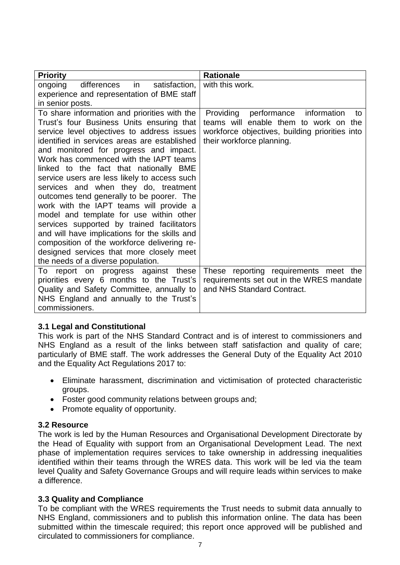| <b>Priority</b>                               | <b>Rationale</b>                               |
|-----------------------------------------------|------------------------------------------------|
| in<br>differences<br>satisfaction.<br>ongoing | with this work.                                |
| experience and representation of BME staff    |                                                |
| in senior posts.                              |                                                |
| To share information and priorities with the  | Providing<br>performance<br>information<br>to  |
| Trust's four Business Units ensuring that     | teams will enable them to work on the          |
| service level objectives to address issues    | workforce objectives, building priorities into |
| identified in services areas are established  | their workforce planning.                      |
| and monitored for progress and impact.        |                                                |
| Work has commenced with the IAPT teams        |                                                |
| linked to the fact that nationally BME        |                                                |
| service users are less likely to access such  |                                                |
| services and when they do, treatment          |                                                |
| outcomes tend generally to be poorer. The     |                                                |
| work with the IAPT teams will provide a       |                                                |
| model and template for use within other       |                                                |
| services supported by trained facilitators    |                                                |
| and will have implications for the skills and |                                                |
| composition of the workforce delivering re-   |                                                |
| designed services that more closely meet      |                                                |
| the needs of a diverse population.            |                                                |
| report on progress against these<br>To        | These reporting requirements meet the          |
| priorities every 6 months to the Trust's      | requirements set out in the WRES mandate       |
| Quality and Safety Committee, annually to     | and NHS Standard Contract.                     |
| NHS England and annually to the Trust's       |                                                |
| commissioners.                                |                                                |

## **3.1 Legal and Constitutional**

This work is part of the NHS Standard Contract and is of interest to commissioners and NHS England as a result of the links between staff satisfaction and quality of care; particularly of BME staff. The work addresses the General Duty of the Equality Act 2010 and the Equality Act Regulations 2017 to:

- Eliminate harassment, discrimination and victimisation of protected characteristic groups.
- Foster good community relations between groups and;
- Promote equality of opportunity.

## **3.2 Resource**

The work is led by the Human Resources and Organisational Development Directorate by the Head of Equality with support from an Organisational Development Lead. The next phase of implementation requires services to take ownership in addressing inequalities identified within their teams through the WRES data. This work will be led via the team level Quality and Safety Governance Groups and will require leads within services to make a difference.

## **3.3 Quality and Compliance**

To be compliant with the WRES requirements the Trust needs to submit data annually to NHS England, commissioners and to publish this information online. The data has been submitted within the timescale required; this report once approved will be published and circulated to commissioners for compliance.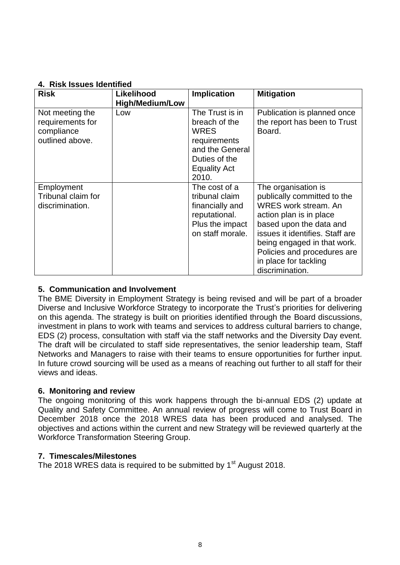# **4. Risk Issues Identified**

| <b>Risk</b>                                                          | Likelihood<br><b>High/Medium/Low</b> | <b>Implication</b>                                                                                                                  | <b>Mitigation</b>                                                                                                                                                                                                                                                                    |
|----------------------------------------------------------------------|--------------------------------------|-------------------------------------------------------------------------------------------------------------------------------------|--------------------------------------------------------------------------------------------------------------------------------------------------------------------------------------------------------------------------------------------------------------------------------------|
| Not meeting the<br>requirements for<br>compliance<br>outlined above. | Low                                  | The Trust is in<br>breach of the<br><b>WRES</b><br>requirements<br>and the General<br>Duties of the<br><b>Equality Act</b><br>2010. | Publication is planned once<br>the report has been to Trust<br>Board.                                                                                                                                                                                                                |
| Employment<br>Tribunal claim for<br>discrimination.                  |                                      | The cost of a<br>tribunal claim<br>financially and<br>reputational.<br>Plus the impact<br>on staff morale.                          | The organisation is<br>publically committed to the<br><b>WRES work stream, An</b><br>action plan is in place<br>based upon the data and<br>issues it identifies. Staff are<br>being engaged in that work.<br>Policies and procedures are<br>in place for tackling<br>discrimination. |

# **5. Communication and Involvement**

The BME Diversity in Employment Strategy is being revised and will be part of a broader Diverse and Inclusive Workforce Strategy to incorporate the Trust's priorities for delivering on this agenda. The strategy is built on priorities identified through the Board discussions, investment in plans to work with teams and services to address cultural barriers to change, EDS (2) process, consultation with staff via the staff networks and the Diversity Day event. The draft will be circulated to staff side representatives, the senior leadership team, Staff Networks and Managers to raise with their teams to ensure opportunities for further input. In future crowd sourcing will be used as a means of reaching out further to all staff for their views and ideas.

# **6. Monitoring and review**

The ongoing monitoring of this work happens through the bi-annual EDS (2) update at Quality and Safety Committee. An annual review of progress will come to Trust Board in December 2018 once the 2018 WRES data has been produced and analysed. The objectives and actions within the current and new Strategy will be reviewed quarterly at the Workforce Transformation Steering Group.

# **7. Timescales/Milestones**

The 2018 WRES data is required to be submitted by 1<sup>st</sup> August 2018.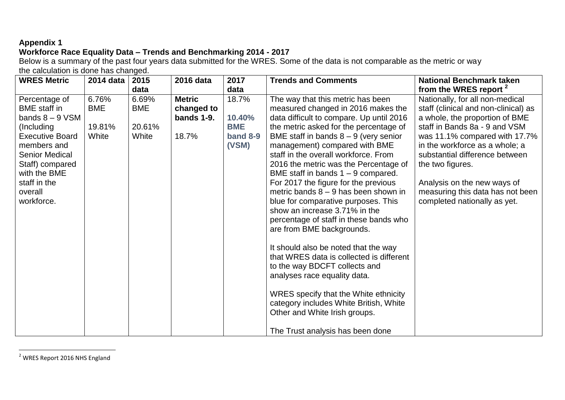# **Appendix 1**

# **Workforce Race Equality Data – Trends and Benchmarking 2014 - 2017**

Below is a summary of the past four years data submitted for the WRES. Some of the data is not comparable as the metric or way the calculation is done has changed.

| <b>WRES Metric</b>                                                                                                                                                                                                    | 2014 data                              | 2015                                   | 2016 data                                          | 2017                                               | <b>Trends and Comments</b>                                                                                                                                                                                                                                                                                                                                                                                                                                                                                                                                                                                                                                                                                                                                                                                                                                                                                       | <b>National Benchmark taken</b>                                                                                                                                                                                                                                                                                                                                        |
|-----------------------------------------------------------------------------------------------------------------------------------------------------------------------------------------------------------------------|----------------------------------------|----------------------------------------|----------------------------------------------------|----------------------------------------------------|------------------------------------------------------------------------------------------------------------------------------------------------------------------------------------------------------------------------------------------------------------------------------------------------------------------------------------------------------------------------------------------------------------------------------------------------------------------------------------------------------------------------------------------------------------------------------------------------------------------------------------------------------------------------------------------------------------------------------------------------------------------------------------------------------------------------------------------------------------------------------------------------------------------|------------------------------------------------------------------------------------------------------------------------------------------------------------------------------------------------------------------------------------------------------------------------------------------------------------------------------------------------------------------------|
|                                                                                                                                                                                                                       |                                        | data                                   |                                                    | data                                               |                                                                                                                                                                                                                                                                                                                                                                                                                                                                                                                                                                                                                                                                                                                                                                                                                                                                                                                  | from the WRES report <sup>2</sup>                                                                                                                                                                                                                                                                                                                                      |
| Percentage of<br><b>BME</b> staff in<br>bands $8 - 9$ VSM<br>(Including<br><b>Executive Board</b><br>members and<br><b>Senior Medical</b><br>Staff) compared<br>with the BME<br>staff in the<br>overall<br>workforce. | 6.76%<br><b>BME</b><br>19.81%<br>White | 6.69%<br><b>BME</b><br>20.61%<br>White | <b>Metric</b><br>changed to<br>bands 1-9.<br>18.7% | 18.7%<br>10.40%<br><b>BME</b><br>band 8-9<br>(VSM) | The way that this metric has been<br>measured changed in 2016 makes the<br>data difficult to compare. Up until 2016<br>the metric asked for the percentage of<br>BME staff in bands $8 - 9$ (very senior<br>management) compared with BME<br>staff in the overall workforce. From<br>2016 the metric was the Percentage of<br>BME staff in bands $1 - 9$ compared.<br>For 2017 the figure for the previous<br>metric bands $8 - 9$ has been shown in<br>blue for comparative purposes. This<br>show an increase 3.71% in the<br>percentage of staff in these bands who<br>are from BME backgrounds.<br>It should also be noted that the way<br>that WRES data is collected is different<br>to the way BDCFT collects and<br>analyses race equality data.<br>WRES specify that the White ethnicity<br>category includes White British, White<br>Other and White Irish groups.<br>The Trust analysis has been done | Nationally, for all non-medical<br>staff (clinical and non-clinical) as<br>a whole, the proportion of BME<br>staff in Bands 8a - 9 and VSM<br>was 11.1% compared with 17.7%<br>in the workforce as a whole; a<br>substantial difference between<br>the two figures.<br>Analysis on the new ways of<br>measuring this data has not been<br>completed nationally as yet. |

 $2$  WRES Report 2016 NHS England

 $\overline{a}$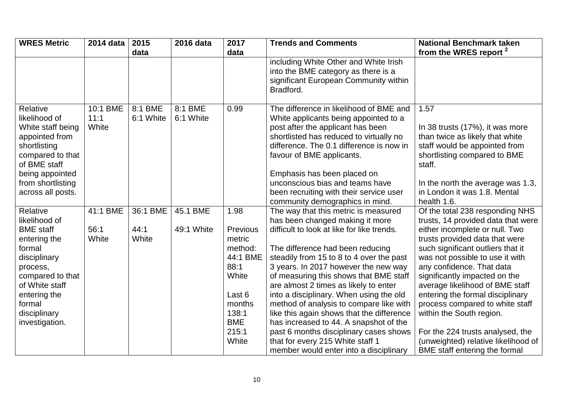| <b>WRES Metric</b>                                                                                                                                                                | 2014 data                 | 2015                 | 2016 data            | 2017                                                                                              | <b>Trends and Comments</b>                                                                                                                                                                                                                                                                                                                                                                                                                                                                                                                      | <b>National Benchmark taken</b>                                                                                                                                                                                                                                                                                                                                                                     |
|-----------------------------------------------------------------------------------------------------------------------------------------------------------------------------------|---------------------------|----------------------|----------------------|---------------------------------------------------------------------------------------------------|-------------------------------------------------------------------------------------------------------------------------------------------------------------------------------------------------------------------------------------------------------------------------------------------------------------------------------------------------------------------------------------------------------------------------------------------------------------------------------------------------------------------------------------------------|-----------------------------------------------------------------------------------------------------------------------------------------------------------------------------------------------------------------------------------------------------------------------------------------------------------------------------------------------------------------------------------------------------|
|                                                                                                                                                                                   |                           | data                 |                      | data                                                                                              |                                                                                                                                                                                                                                                                                                                                                                                                                                                                                                                                                 | from the WRES report <sup>2</sup>                                                                                                                                                                                                                                                                                                                                                                   |
|                                                                                                                                                                                   |                           |                      |                      |                                                                                                   | including White Other and White Irish<br>into the BME category as there is a<br>significant European Community within<br>Bradford.                                                                                                                                                                                                                                                                                                                                                                                                              |                                                                                                                                                                                                                                                                                                                                                                                                     |
| Relative<br>likelihood of<br>White staff being<br>appointed from<br>shortlisting<br>compared to that<br>of BME staff<br>being appointed<br>from shortlisting<br>across all posts. | 10:1 BME<br>11:1<br>White | 8:1 BME<br>6:1 White | 8:1 BME<br>6:1 White | 0.99                                                                                              | The difference in likelihood of BME and<br>White applicants being appointed to a<br>post after the applicant has been<br>shortlisted has reduced to virtually no<br>difference. The 0.1 difference is now in<br>favour of BME applicants.<br>Emphasis has been placed on<br>unconscious bias and teams have<br>been recruiting with their service user                                                                                                                                                                                          | 1.57<br>In 38 trusts (17%), it was more<br>than twice as likely that white<br>staff would be appointed from<br>shortlisting compared to BME<br>staff.<br>In the north the average was 1.3,<br>in London it was 1.8. Mental                                                                                                                                                                          |
| Relative                                                                                                                                                                          | 41:1 BME                  | 36:1 BME             | 45.1 BME             | 1.98                                                                                              | The way that this metric is measured                                                                                                                                                                                                                                                                                                                                                                                                                                                                                                            | Of the total 238 responding NHS                                                                                                                                                                                                                                                                                                                                                                     |
| likelihood of                                                                                                                                                                     |                           |                      |                      |                                                                                                   | has been changed making it more                                                                                                                                                                                                                                                                                                                                                                                                                                                                                                                 | trusts, 14 provided data that were                                                                                                                                                                                                                                                                                                                                                                  |
| <b>BME</b> staff                                                                                                                                                                  | 56:1                      | 44:1                 | 49:1 White           | Previous                                                                                          | difficult to look at like for like trends.                                                                                                                                                                                                                                                                                                                                                                                                                                                                                                      | either incomplete or null. Two                                                                                                                                                                                                                                                                                                                                                                      |
| entering the                                                                                                                                                                      | White                     | White                |                      | metric                                                                                            |                                                                                                                                                                                                                                                                                                                                                                                                                                                                                                                                                 | trusts provided data that were                                                                                                                                                                                                                                                                                                                                                                      |
| formal                                                                                                                                                                            |                           |                      |                      |                                                                                                   |                                                                                                                                                                                                                                                                                                                                                                                                                                                                                                                                                 |                                                                                                                                                                                                                                                                                                                                                                                                     |
|                                                                                                                                                                                   |                           |                      |                      |                                                                                                   |                                                                                                                                                                                                                                                                                                                                                                                                                                                                                                                                                 |                                                                                                                                                                                                                                                                                                                                                                                                     |
|                                                                                                                                                                                   |                           |                      |                      |                                                                                                   |                                                                                                                                                                                                                                                                                                                                                                                                                                                                                                                                                 |                                                                                                                                                                                                                                                                                                                                                                                                     |
|                                                                                                                                                                                   |                           |                      |                      |                                                                                                   |                                                                                                                                                                                                                                                                                                                                                                                                                                                                                                                                                 |                                                                                                                                                                                                                                                                                                                                                                                                     |
|                                                                                                                                                                                   |                           |                      |                      |                                                                                                   |                                                                                                                                                                                                                                                                                                                                                                                                                                                                                                                                                 |                                                                                                                                                                                                                                                                                                                                                                                                     |
|                                                                                                                                                                                   |                           |                      |                      |                                                                                                   |                                                                                                                                                                                                                                                                                                                                                                                                                                                                                                                                                 |                                                                                                                                                                                                                                                                                                                                                                                                     |
|                                                                                                                                                                                   |                           |                      |                      |                                                                                                   |                                                                                                                                                                                                                                                                                                                                                                                                                                                                                                                                                 |                                                                                                                                                                                                                                                                                                                                                                                                     |
|                                                                                                                                                                                   |                           |                      |                      |                                                                                                   |                                                                                                                                                                                                                                                                                                                                                                                                                                                                                                                                                 |                                                                                                                                                                                                                                                                                                                                                                                                     |
|                                                                                                                                                                                   |                           |                      |                      |                                                                                                   |                                                                                                                                                                                                                                                                                                                                                                                                                                                                                                                                                 |                                                                                                                                                                                                                                                                                                                                                                                                     |
|                                                                                                                                                                                   |                           |                      |                      |                                                                                                   |                                                                                                                                                                                                                                                                                                                                                                                                                                                                                                                                                 |                                                                                                                                                                                                                                                                                                                                                                                                     |
|                                                                                                                                                                                   |                           |                      |                      |                                                                                                   |                                                                                                                                                                                                                                                                                                                                                                                                                                                                                                                                                 |                                                                                                                                                                                                                                                                                                                                                                                                     |
| disciplinary<br>process,<br>compared to that<br>of White staff<br>entering the<br>formal<br>disciplinary<br>investigation.                                                        |                           |                      |                      | method:<br>44:1 BME<br>88:1<br>White<br>Last 6<br>months<br>138:1<br><b>BME</b><br>215:1<br>White | community demographics in mind.<br>The difference had been reducing<br>steadily from 15 to 8 to 4 over the past<br>3 years. In 2017 however the new way<br>of measuring this shows that BME staff<br>are almost 2 times as likely to enter<br>into a disciplinary. When using the old<br>method of analysis to compare like with<br>like this again shows that the difference<br>has increased to 44. A snapshot of the<br>past 6 months disciplinary cases shows<br>that for every 215 White staff 1<br>member would enter into a disciplinary | health 1.6.<br>such significant outliers that it<br>was not possible to use it with<br>any confidence. That data<br>significantly impacted on the<br>average likelihood of BME staff<br>entering the formal disciplinary<br>process compared to white staff<br>within the South region.<br>For the 224 trusts analysed, the<br>(unweighted) relative likelihood of<br>BME staff entering the formal |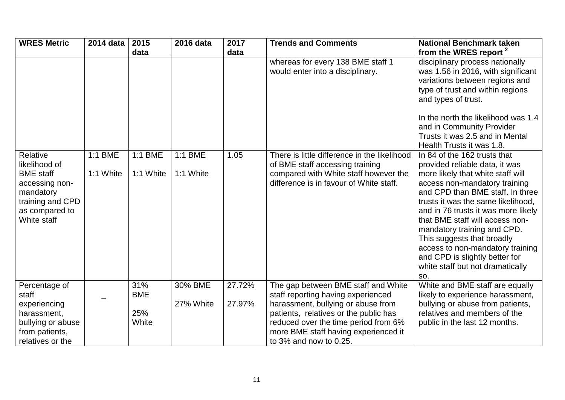| <b>WRES Metric</b>                                                                                                                | 2014 data            | 2015                              | 2016 data            | 2017             | <b>Trends and Comments</b>                                                                                                                                                                                                                                            | <b>National Benchmark taken</b>                                                                                                                                                                                                                                                                                                                                                                                                                                        |
|-----------------------------------------------------------------------------------------------------------------------------------|----------------------|-----------------------------------|----------------------|------------------|-----------------------------------------------------------------------------------------------------------------------------------------------------------------------------------------------------------------------------------------------------------------------|------------------------------------------------------------------------------------------------------------------------------------------------------------------------------------------------------------------------------------------------------------------------------------------------------------------------------------------------------------------------------------------------------------------------------------------------------------------------|
|                                                                                                                                   |                      | data                              |                      | data             |                                                                                                                                                                                                                                                                       | from the WRES report <sup>2</sup>                                                                                                                                                                                                                                                                                                                                                                                                                                      |
|                                                                                                                                   |                      |                                   |                      |                  | whereas for every 138 BME staff 1<br>would enter into a disciplinary.                                                                                                                                                                                                 | disciplinary process nationally<br>was 1.56 in 2016, with significant<br>variations between regions and<br>type of trust and within regions<br>and types of trust.<br>In the north the likelihood was 1.4<br>and in Community Provider<br>Trusts it was 2.5 and in Mental<br>Health Trusts it was 1.8.                                                                                                                                                                 |
| Relative<br>likelihood of<br><b>BME</b> staff<br>accessing non-<br>mandatory<br>training and CPD<br>as compared to<br>White staff | 1:1 BME<br>1:1 White | 1:1 BME<br>1:1 White              | 1:1 BME<br>1:1 White | 1.05             | There is little difference in the likelihood<br>of BME staff accessing training<br>compared with White staff however the<br>difference is in favour of White staff.                                                                                                   | In 84 of the 162 trusts that<br>provided reliable data, it was<br>more likely that white staff will<br>access non-mandatory training<br>and CPD than BME staff. In three<br>trusts it was the same likelihood,<br>and in 76 trusts it was more likely<br>that BME staff will access non-<br>mandatory training and CPD.<br>This suggests that broadly<br>access to non-mandatory training<br>and CPD is slightly better for<br>white staff but not dramatically<br>SO. |
| Percentage of<br>staff<br>experiencing<br>harassment,<br>bullying or abuse<br>from patients,<br>relatives or the                  |                      | 31%<br><b>BME</b><br>25%<br>White | 30% BME<br>27% White | 27.72%<br>27.97% | The gap between BME staff and White<br>staff reporting having experienced<br>harassment, bullying or abuse from<br>patients, relatives or the public has<br>reduced over the time period from 6%<br>more BME staff having experienced it<br>to $3\%$ and now to 0.25. | White and BME staff are equally<br>likely to experience harassment,<br>bullying or abuse from patients,<br>relatives and members of the<br>public in the last 12 months.                                                                                                                                                                                                                                                                                               |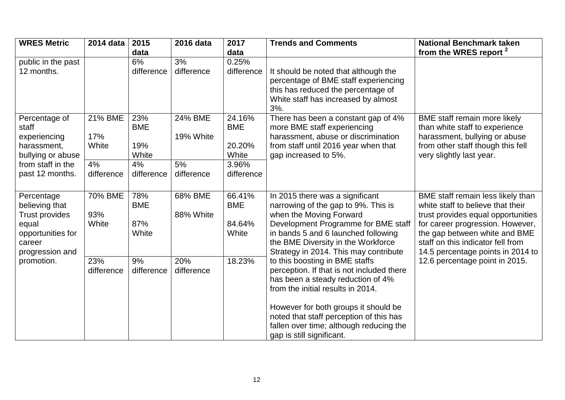| <b>WRES Metric</b>                     | 2014 data  | 2015             | 2016 data        | 2017       | <b>Trends and Comments</b>                                                  | <b>National Benchmark taken</b>                                     |
|----------------------------------------|------------|------------------|------------------|------------|-----------------------------------------------------------------------------|---------------------------------------------------------------------|
|                                        |            | data             |                  | data       |                                                                             | from the WRES report <sup>2</sup>                                   |
| public in the past                     |            | 6%               | 3%               | 0.25%      |                                                                             |                                                                     |
| 12 months.                             |            | difference       | difference       | difference | It should be noted that although the                                        |                                                                     |
|                                        |            |                  |                  |            | percentage of BME staff experiencing                                        |                                                                     |
|                                        |            |                  |                  |            | this has reduced the percentage of                                          |                                                                     |
|                                        |            |                  |                  |            | White staff has increased by almost                                         |                                                                     |
|                                        |            |                  |                  |            | 3%.                                                                         |                                                                     |
| Percentage of                          | 21% BME    | 23%              | 24% BME          | 24.16%     | There has been a constant gap of 4%                                         | BME staff remain more likely                                        |
| staff                                  |            | <b>BME</b>       |                  | <b>BME</b> | more BME staff experiencing                                                 | than white staff to experience                                      |
| experiencing                           | 17%        |                  | 19% White        |            | harassment, abuse or discrimination                                         | harassment, bullying or abuse                                       |
| harassment,                            | White      | 19%              |                  | 20.20%     | from staff until 2016 year when that                                        | from other staff though this fell                                   |
| bullying or abuse<br>from staff in the |            | White            |                  | White      | gap increased to 5%.                                                        | very slightly last year.                                            |
|                                        | 4%         | 4%<br>difference | 5%<br>difference | 3.96%      |                                                                             |                                                                     |
| past 12 months.                        | difference |                  |                  | difference |                                                                             |                                                                     |
|                                        |            |                  |                  |            |                                                                             |                                                                     |
| Percentage                             | 70% BME    | 78%              | 68% BME          | 66.41%     | In 2015 there was a significant                                             | BME staff remain less likely than                                   |
| believing that                         |            | <b>BME</b>       |                  | <b>BME</b> | narrowing of the gap to 9%. This is                                         | white staff to believe that their                                   |
| <b>Trust provides</b>                  | 93%        |                  | 88% White        |            | when the Moving Forward                                                     | trust provides equal opportunities                                  |
| equal                                  | White      | 87%              |                  | 84.64%     | Development Programme for BME staff                                         | for career progression. However,                                    |
| opportunities for                      |            | White            |                  | White      | in bands 5 and 6 launched following                                         | the gap between white and BME                                       |
| career                                 |            |                  |                  |            | the BME Diversity in the Workforce<br>Strategy in 2014. This may contribute | staff on this indicator fell from                                   |
| progression and<br>promotion.          | 23%        | 9%               | 20%              | 18.23%     | to this boosting in BME staffs                                              | 14.5 percentage points in 2014 to<br>12.6 percentage point in 2015. |
|                                        | difference | difference       | difference       |            | perception. If that is not included there                                   |                                                                     |
|                                        |            |                  |                  |            | has been a steady reduction of 4%                                           |                                                                     |
|                                        |            |                  |                  |            | from the initial results in 2014.                                           |                                                                     |
|                                        |            |                  |                  |            |                                                                             |                                                                     |
|                                        |            |                  |                  |            | However for both groups it should be                                        |                                                                     |
|                                        |            |                  |                  |            | noted that staff perception of this has                                     |                                                                     |
|                                        |            |                  |                  |            | fallen over time; although reducing the                                     |                                                                     |
|                                        |            |                  |                  |            | gap is still significant.                                                   |                                                                     |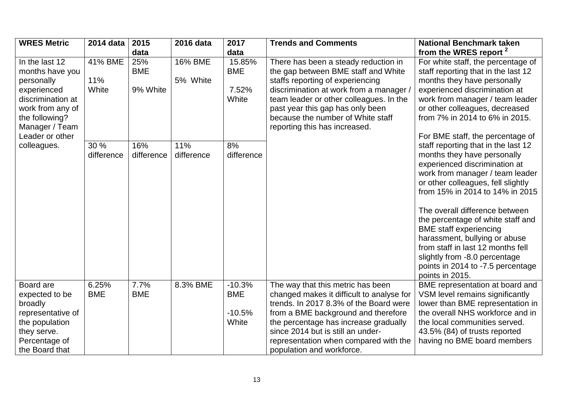| <b>WRES Metric</b>                                                                                                                          | 2014 data               | 2015                          | 2016 data           | 2017                                        | <b>Trends and Comments</b>                                                                                                                                                                                                                                                                                          | <b>National Benchmark taken</b>                                                                                                                                                                                                                                                                                                                                                                                                                                                                                            |
|---------------------------------------------------------------------------------------------------------------------------------------------|-------------------------|-------------------------------|---------------------|---------------------------------------------|---------------------------------------------------------------------------------------------------------------------------------------------------------------------------------------------------------------------------------------------------------------------------------------------------------------------|----------------------------------------------------------------------------------------------------------------------------------------------------------------------------------------------------------------------------------------------------------------------------------------------------------------------------------------------------------------------------------------------------------------------------------------------------------------------------------------------------------------------------|
|                                                                                                                                             |                         | data                          |                     | data                                        |                                                                                                                                                                                                                                                                                                                     | from the WRES report <sup>2</sup>                                                                                                                                                                                                                                                                                                                                                                                                                                                                                          |
| In the last 12<br>months have you<br>personally<br>experienced<br>discrimination at<br>work from any of<br>the following?<br>Manager / Team | 41% BME<br>11%<br>White | 25%<br><b>BME</b><br>9% White | 16% BME<br>5% White | 15.85%<br><b>BME</b><br>7.52%<br>White      | There has been a steady reduction in<br>the gap between BME staff and White<br>staffs reporting of experiencing<br>discrimination at work from a manager,<br>team leader or other colleagues. In the<br>past year this gap has only been<br>because the number of White staff<br>reporting this has increased.      | For white staff, the percentage of<br>staff reporting that in the last 12<br>months they have personally<br>experienced discrimination at<br>work from manager / team leader<br>or other colleagues, decreased<br>from 7% in 2014 to 6% in 2015.                                                                                                                                                                                                                                                                           |
| Leader or other<br>colleagues.                                                                                                              | 30 %<br>difference      | 16%<br>difference             | 11%<br>difference   | 8%<br>difference                            |                                                                                                                                                                                                                                                                                                                     | For BME staff, the percentage of<br>staff reporting that in the last 12<br>months they have personally<br>experienced discrimination at<br>work from manager / team leader<br>or other colleagues, fell slightly<br>from 15% in 2014 to 14% in 2015<br>The overall difference between<br>the percentage of white staff and<br><b>BME</b> staff experiencing<br>harassment, bullying or abuse<br>from staff in last 12 months fell<br>slightly from -8.0 percentage<br>points in 2014 to -7.5 percentage<br>points in 2015. |
| Board are<br>expected to be<br>broadly<br>representative of<br>the population<br>they serve.<br>Percentage of<br>the Board that             | 6.25%<br><b>BME</b>     | 7.7%<br><b>BME</b>            | 8.3% BME            | $-10.3%$<br><b>BME</b><br>$-10.5%$<br>White | The way that this metric has been<br>changed makes it difficult to analyse for<br>trends. In 2017 8.3% of the Board were<br>from a BME background and therefore<br>the percentage has increase gradually<br>since 2014 but is still an under-<br>representation when compared with the<br>population and workforce. | BME representation at board and<br>VSM level remains significantly<br>lower than BME representation in<br>the overall NHS workforce and in<br>the local communities served.<br>43.5% (84) of trusts reported<br>having no BME board members                                                                                                                                                                                                                                                                                |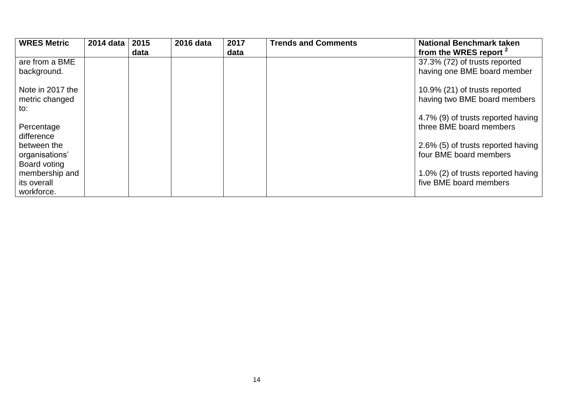| <b>WRES Metric</b> | 2014 data | 2015 | 2016 data | 2017 | <b>Trends and Comments</b> | <b>National Benchmark taken</b>    |
|--------------------|-----------|------|-----------|------|----------------------------|------------------------------------|
|                    |           | data |           | data |                            | from the WRES report <sup>2</sup>  |
| are from a BME     |           |      |           |      |                            | 37.3% (72) of trusts reported      |
| background.        |           |      |           |      |                            | having one BME board member        |
| Note in 2017 the   |           |      |           |      |                            | 10.9% (21) of trusts reported      |
| metric changed     |           |      |           |      |                            | having two BME board members       |
| to:                |           |      |           |      |                            |                                    |
|                    |           |      |           |      |                            | 4.7% (9) of trusts reported having |
| Percentage         |           |      |           |      |                            | three BME board members            |
| difference         |           |      |           |      |                            |                                    |
| between the        |           |      |           |      |                            | 2.6% (5) of trusts reported having |
| organisations'     |           |      |           |      |                            | four BME board members             |
| Board voting       |           |      |           |      |                            |                                    |
| membership and     |           |      |           |      |                            | 1.0% (2) of trusts reported having |
| its overall        |           |      |           |      |                            | five BME board members             |
| workforce.         |           |      |           |      |                            |                                    |